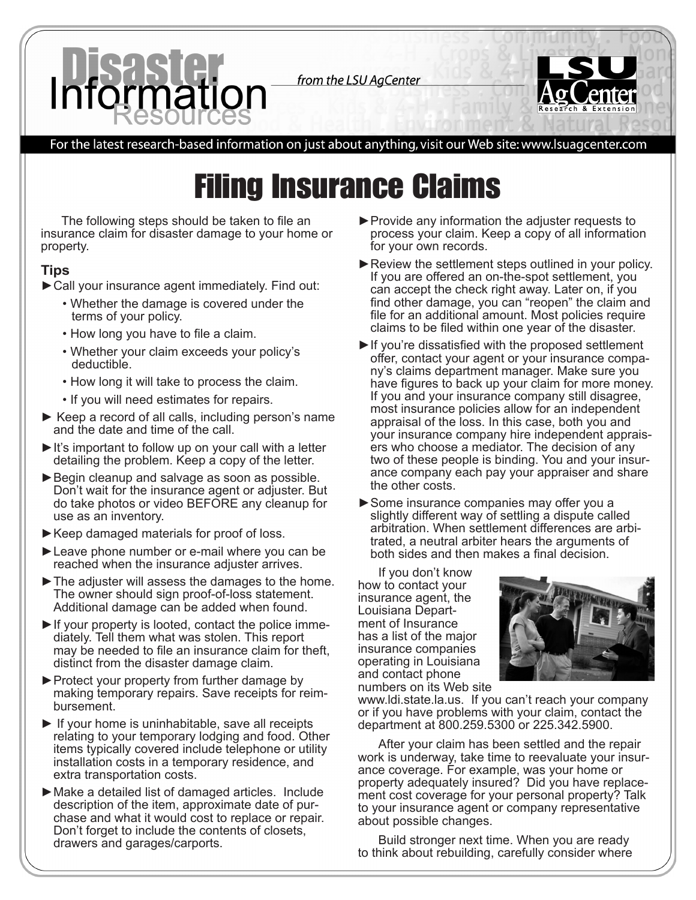from the LSU AgCenter



## For the latest research-based information on just about anything, visit our Web site: www.lsuagcenter.com

## Filing Insurance Claims

The following steps should be taken to file an insurance claim for disaster damage to your home or property.

## **Tips**

- ►Call your insurance agent immediately. Find out:
	- Whether the damage is covered under the terms of your policy.
	- How long you have to file a claim.
	- Whether your claim exceeds your policy's deductible.
	- How long it will take to process the claim.
	- If you will need estimates for repairs.
- ► Keep a record of all calls, including person's name and the date and time of the call.
- ► It's important to follow up on your call with a letter detailing the problem. Keep a copy of the letter.
- ► Begin cleanup and salvage as soon as possible. Don't wait for the insurance agent or adjuster. But do take photos or video BEFORE any cleanup for use as an inventory.
- ►Keep damaged materials for proof of loss.
- ►Leave phone number or e-mail where you can be reached when the insurance adjuster arrives.
- $\blacktriangleright$  The adjuster will assess the damages to the home. The owner should sign proof-of-loss statement. Additional damage can be added when found.
- ► If your property is looted, contact the police immediately. Tell them what was stolen. This report may be needed to file an insurance claim for theft, distinct from the disaster damage claim.
- ►Protect your property from further damage by making temporary repairs. Save receipts for reimbursement.
- $\blacktriangleright$  If your home is uninhabitable, save all receipts relating to your temporary lodging and food. Other items typically covered include telephone or utility installation costs in a temporary residence, and extra transportation costs.
- ►Make a detailed list of damaged articles. Include description of the item, approximate date of purchase and what it would cost to replace or repair. Don't forget to include the contents of closets, drawers and garages/carports.
- ►Provide any information the adjuster requests to process your claim. Keep a copy of all information for your own records.
- ► Review the settlement steps outlined in your policy. If you are offered an on-the-spot settlement, you can accept the check right away. Later on, if you find other damage, you can "reopen" the claim and file for an additional amount. Most policies require claims to be filed within one year of the disaster.
- ►If you're dissatisfied with the proposed settlement offer, contact your agent or your insurance company's claims department manager. Make sure you have figures to back up your claim for more money. If you and your insurance company still disagree, most insurance policies allow for an independent appraisal of the loss. In this case, both you and your insurance company hire independent appraisers who choose a mediator. The decision of any two of these people is binding. You and your insurance company each pay your appraiser and share the other costs.
- ►Some insurance companies may offer you a slightly different way of settling a dispute called arbitration. When settlement differences are arbitrated, a neutral arbiter hears the arguments of both sides and then makes a final decision.

If you don't know how to contact your insurance agent, the Louisiana Department of Insurance has a list of the major insurance companies operating in Louisiana and contact phone numbers on its Web site



www.ldi.state.la.us. If you can't reach your company or if you have problems with your claim, contact the department at 800.259.5300 or 225.342.5900.

After your claim has been settled and the repair work is underway, take time to reevaluate your insurance coverage. For example, was your home or property adequately insured? Did you have replacement cost coverage for your personal property? Talk to your insurance agent or company representative about possible changes.

Build stronger next time. When you are ready to think about rebuilding, carefully consider where